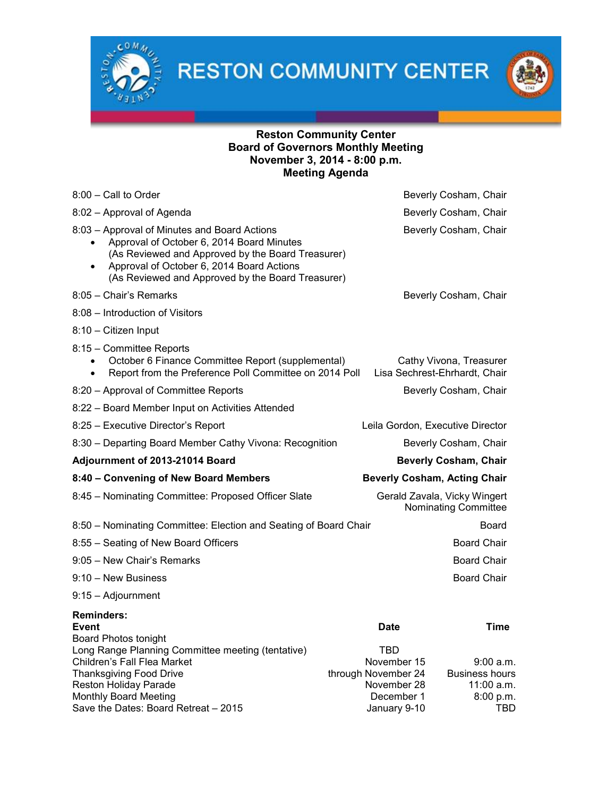

**RESTON COMMUNITY CENTER** 



## Reston Community Center Board of Governors Monthly Meeting November 3, 2014 - 8:00 p.m. Meeting Agenda

| $8:00$ – Call to Order                                                                                                                                                                                                                                        |                                                                                        | Beverly Cosham, Chair                                                |  |
|---------------------------------------------------------------------------------------------------------------------------------------------------------------------------------------------------------------------------------------------------------------|----------------------------------------------------------------------------------------|----------------------------------------------------------------------|--|
| 8:02 - Approval of Agenda                                                                                                                                                                                                                                     |                                                                                        | Beverly Cosham, Chair                                                |  |
| 8:03 - Approval of Minutes and Board Actions<br>Approval of October 6, 2014 Board Minutes<br>(As Reviewed and Approved by the Board Treasurer)<br>Approval of October 6, 2014 Board Actions<br>$\bullet$<br>(As Reviewed and Approved by the Board Treasurer) |                                                                                        | Beverly Cosham, Chair                                                |  |
| 8:05 - Chair's Remarks                                                                                                                                                                                                                                        |                                                                                        | Beverly Cosham, Chair                                                |  |
| 8:08 - Introduction of Visitors                                                                                                                                                                                                                               |                                                                                        |                                                                      |  |
| 8:10 - Citizen Input                                                                                                                                                                                                                                          |                                                                                        |                                                                      |  |
| 8:15 - Committee Reports<br>October 6 Finance Committee Report (supplemental)<br>Report from the Preference Poll Committee on 2014 Poll                                                                                                                       |                                                                                        | Cathy Vivona, Treasurer<br>Lisa Sechrest-Ehrhardt, Chair             |  |
| 8:20 - Approval of Committee Reports                                                                                                                                                                                                                          | Beverly Cosham, Chair                                                                  |                                                                      |  |
| 8:22 - Board Member Input on Activities Attended                                                                                                                                                                                                              |                                                                                        |                                                                      |  |
| 8:25 - Executive Director's Report                                                                                                                                                                                                                            | Leila Gordon, Executive Director                                                       |                                                                      |  |
| 8:30 - Departing Board Member Cathy Vivona: Recognition                                                                                                                                                                                                       |                                                                                        | Beverly Cosham, Chair                                                |  |
| Adjournment of 2013-21014 Board                                                                                                                                                                                                                               |                                                                                        | <b>Beverly Cosham, Chair</b>                                         |  |
| 8:40 - Convening of New Board Members                                                                                                                                                                                                                         | <b>Beverly Cosham, Acting Chair</b>                                                    |                                                                      |  |
| 8:45 - Nominating Committee: Proposed Officer Slate                                                                                                                                                                                                           |                                                                                        | Gerald Zavala, Vicky Wingert<br>Nominating Committee                 |  |
| 8:50 - Nominating Committee: Election and Seating of Board Chair                                                                                                                                                                                              |                                                                                        | Board                                                                |  |
| 8:55 - Seating of New Board Officers                                                                                                                                                                                                                          |                                                                                        | <b>Board Chair</b>                                                   |  |
| 9:05 - New Chair's Remarks                                                                                                                                                                                                                                    |                                                                                        | <b>Board Chair</b>                                                   |  |
| $9:10 - New Business$                                                                                                                                                                                                                                         |                                                                                        | <b>Board Chair</b>                                                   |  |
| 9:15 - Adjournment                                                                                                                                                                                                                                            |                                                                                        |                                                                      |  |
| <b>Reminders:</b><br>Event                                                                                                                                                                                                                                    | <b>Date</b>                                                                            | Time                                                                 |  |
| <b>Board Photos tonight</b><br>Long Range Planning Committee meeting (tentative)<br>Children's Fall Flea Market<br><b>Thanksgiving Food Drive</b><br>Reston Holiday Parade<br>Monthly Board Meeting<br>Save the Dates: Board Retreat - 2015                   | TBD<br>November 15<br>through November 24<br>November 28<br>December 1<br>January 9-10 | 9:00 a.m.<br><b>Business hours</b><br>11:00 a.m.<br>8:00 p.m.<br>TBD |  |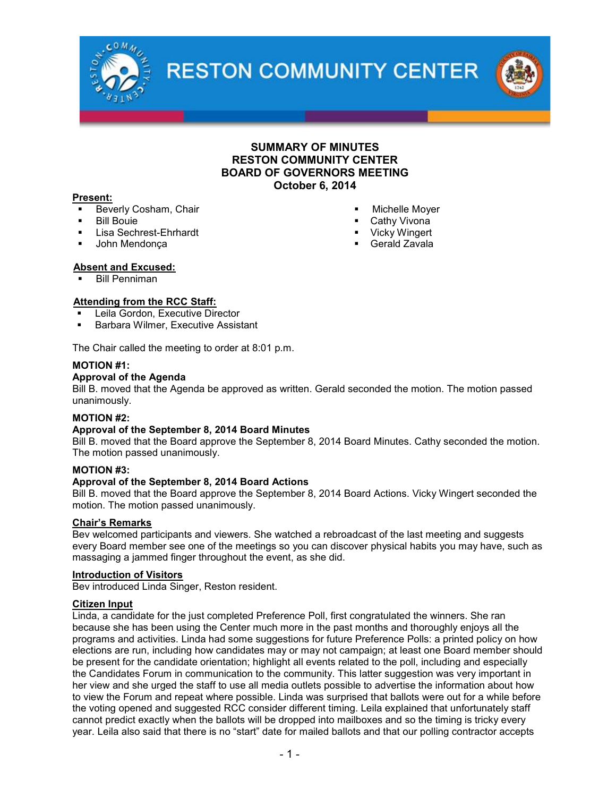

**RESTON COMMUNITY CENTER** 



## SUMMARY OF MINUTES RESTON COMMUNITY CENTER BOARD OF GOVERNORS MEETING October 6, 2014

#### Present:

- Beverly Cosham, Chair
- Bill Bouie
- Lisa Sechrest-Ehrhardt
- John Mendonça
- Michelle Moyer
- Cathy Vivona
- Vicky Wingert
- **Gerald Zavala**

### Absent and Excused:

Bill Penniman

### Attending from the RCC Staff:

- Leila Gordon, Executive Director
- Barbara Wilmer, Executive Assistant

The Chair called the meeting to order at 8:01 p.m.

### MOTION #1:

### Approval of the Agenda

Bill B. moved that the Agenda be approved as written. Gerald seconded the motion. The motion passed unanimously.

## MOTION #2:

## Approval of the September 8, 2014 Board Minutes

Bill B. moved that the Board approve the September 8, 2014 Board Minutes. Cathy seconded the motion. The motion passed unanimously.

#### MOTION #3:

#### Approval of the September 8, 2014 Board Actions

Bill B. moved that the Board approve the September 8, 2014 Board Actions. Vicky Wingert seconded the motion. The motion passed unanimously.

#### Chair's Remarks

Bev welcomed participants and viewers. She watched a rebroadcast of the last meeting and suggests every Board member see one of the meetings so you can discover physical habits you may have, such as massaging a jammed finger throughout the event, as she did.

#### Introduction of Visitors

Bev introduced Linda Singer, Reston resident.

### Citizen Input

Linda, a candidate for the just completed Preference Poll, first congratulated the winners. She ran because she has been using the Center much more in the past months and thoroughly enjoys all the programs and activities. Linda had some suggestions for future Preference Polls: a printed policy on how elections are run, including how candidates may or may not campaign; at least one Board member should be present for the candidate orientation; highlight all events related to the poll, including and especially the Candidates Forum in communication to the community. This latter suggestion was very important in her view and she urged the staff to use all media outlets possible to advertise the information about how to view the Forum and repeat where possible. Linda was surprised that ballots were out for a while before the voting opened and suggested RCC consider different timing. Leila explained that unfortunately staff cannot predict exactly when the ballots will be dropped into mailboxes and so the timing is tricky every year. Leila also said that there is no "start" date for mailed ballots and that our polling contractor accepts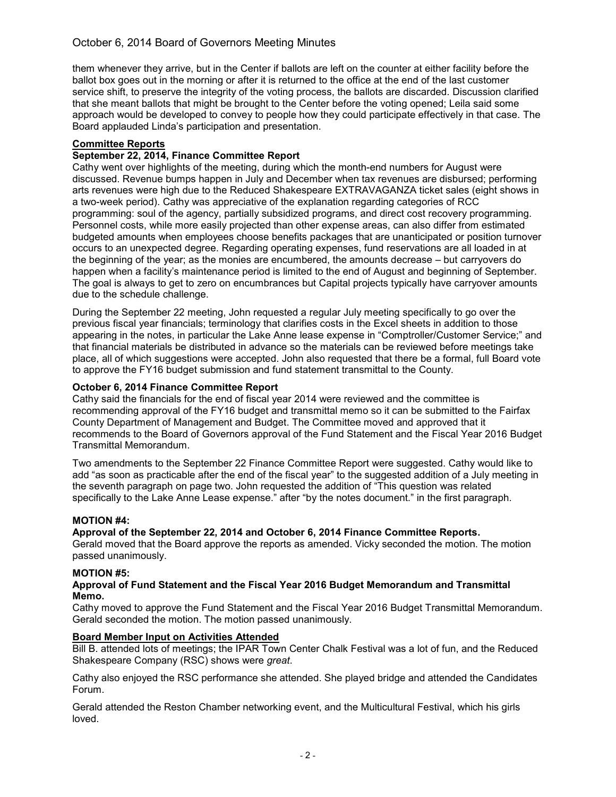# October 6, 2014 Board of Governors Meeting Minutes

them whenever they arrive, but in the Center if ballots are left on the counter at either facility before the ballot box goes out in the morning or after it is returned to the office at the end of the last customer service shift, to preserve the integrity of the voting process, the ballots are discarded. Discussion clarified that she meant ballots that might be brought to the Center before the voting opened; Leila said some approach would be developed to convey to people how they could participate effectively in that case. The Board applauded Linda's participation and presentation.

## Committee Reports

## September 22, 2014, Finance Committee Report

Cathy went over highlights of the meeting, during which the month-end numbers for August were discussed. Revenue bumps happen in July and December when tax revenues are disbursed; performing arts revenues were high due to the Reduced Shakespeare EXTRAVAGANZA ticket sales (eight shows in a two-week period). Cathy was appreciative of the explanation regarding categories of RCC programming: soul of the agency, partially subsidized programs, and direct cost recovery programming. Personnel costs, while more easily projected than other expense areas, can also differ from estimated budgeted amounts when employees choose benefits packages that are unanticipated or position turnover occurs to an unexpected degree. Regarding operating expenses, fund reservations are all loaded in at the beginning of the year; as the monies are encumbered, the amounts decrease – but carryovers do happen when a facility's maintenance period is limited to the end of August and beginning of September. The goal is always to get to zero on encumbrances but Capital projects typically have carryover amounts due to the schedule challenge.

During the September 22 meeting, John requested a regular July meeting specifically to go over the previous fiscal year financials; terminology that clarifies costs in the Excel sheets in addition to those appearing in the notes, in particular the Lake Anne lease expense in "Comptroller/Customer Service;" and that financial materials be distributed in advance so the materials can be reviewed before meetings take place, all of which suggestions were accepted. John also requested that there be a formal, full Board vote to approve the FY16 budget submission and fund statement transmittal to the County.

## October 6, 2014 Finance Committee Report

Cathy said the financials for the end of fiscal year 2014 were reviewed and the committee is recommending approval of the FY16 budget and transmittal memo so it can be submitted to the Fairfax County Department of Management and Budget. The Committee moved and approved that it recommends to the Board of Governors approval of the Fund Statement and the Fiscal Year 2016 Budget Transmittal Memorandum.

Two amendments to the September 22 Finance Committee Report were suggested. Cathy would like to add "as soon as practicable after the end of the fiscal year" to the suggested addition of a July meeting in the seventh paragraph on page two. John requested the addition of "This question was related specifically to the Lake Anne Lease expense." after "by the notes document." in the first paragraph.

## MOTION #4:

## Approval of the September 22, 2014 and October 6, 2014 Finance Committee Reports.

Gerald moved that the Board approve the reports as amended. Vicky seconded the motion. The motion passed unanimously.

## MOTION #5:

#### Approval of Fund Statement and the Fiscal Year 2016 Budget Memorandum and Transmittal Memo.

Cathy moved to approve the Fund Statement and the Fiscal Year 2016 Budget Transmittal Memorandum. Gerald seconded the motion. The motion passed unanimously.

## Board Member Input on Activities Attended

Bill B. attended lots of meetings; the IPAR Town Center Chalk Festival was a lot of fun, and the Reduced Shakespeare Company (RSC) shows were *great*.

Cathy also enjoyed the RSC performance she attended. She played bridge and attended the Candidates Forum.

Gerald attended the Reston Chamber networking event, and the Multicultural Festival, which his girls loved.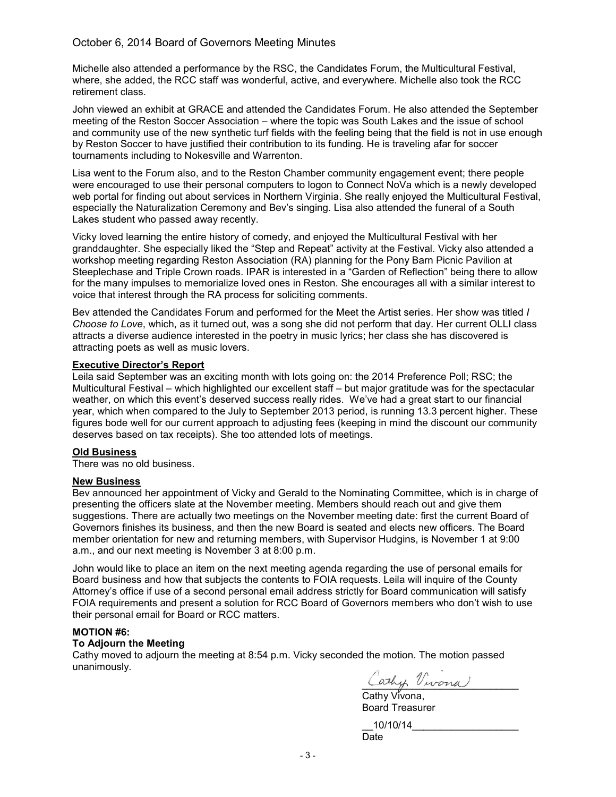## October 6, 2014 Board of Governors Meeting Minutes

Michelle also attended a performance by the RSC, the Candidates Forum, the Multicultural Festival, where, she added, the RCC staff was wonderful, active, and everywhere. Michelle also took the RCC retirement class.

John viewed an exhibit at GRACE and attended the Candidates Forum. He also attended the September meeting of the Reston Soccer Association – where the topic was South Lakes and the issue of school and community use of the new synthetic turf fields with the feeling being that the field is not in use enough by Reston Soccer to have justified their contribution to its funding. He is traveling afar for soccer tournaments including to Nokesville and Warrenton.

Lisa went to the Forum also, and to the Reston Chamber community engagement event; there people were encouraged to use their personal computers to logon to Connect NoVa which is a newly developed web portal for finding out about services in Northern Virginia. She really enjoyed the Multicultural Festival, especially the Naturalization Ceremony and Bev's singing. Lisa also attended the funeral of a South Lakes student who passed away recently.

Vicky loved learning the entire history of comedy, and enjoyed the Multicultural Festival with her granddaughter. She especially liked the "Step and Repeat" activity at the Festival. Vicky also attended a workshop meeting regarding Reston Association (RA) planning for the Pony Barn Picnic Pavilion at Steeplechase and Triple Crown roads. IPAR is interested in a "Garden of Reflection" being there to allow for the many impulses to memorialize loved ones in Reston. She encourages all with a similar interest to voice that interest through the RA process for soliciting comments.

Bev attended the Candidates Forum and performed for the Meet the Artist series. Her show was titled *I Choose to Love*, which, as it turned out, was a song she did not perform that day. Her current OLLI class attracts a diverse audience interested in the poetry in music lyrics; her class she has discovered is attracting poets as well as music lovers.

#### Executive Director's Report

Leila said September was an exciting month with lots going on: the 2014 Preference Poll; RSC; the Multicultural Festival – which highlighted our excellent staff – but major gratitude was for the spectacular weather, on which this event's deserved success really rides. We've had a great start to our financial year, which when compared to the July to September 2013 period, is running 13.3 percent higher. These figures bode well for our current approach to adjusting fees (keeping in mind the discount our community deserves based on tax receipts). She too attended lots of meetings.

## Old Business

There was no old business.

#### New Business

Bev announced her appointment of Vicky and Gerald to the Nominating Committee, which is in charge of presenting the officers slate at the November meeting. Members should reach out and give them suggestions. There are actually two meetings on the November meeting date: first the current Board of Governors finishes its business, and then the new Board is seated and elects new officers. The Board member orientation for new and returning members, with Supervisor Hudgins, is November 1 at 9:00 a.m., and our next meeting is November 3 at 8:00 p.m.

John would like to place an item on the next meeting agenda regarding the use of personal emails for Board business and how that subjects the contents to FOIA requests. Leila will inquire of the County Attorney's office if use of a second personal email address strictly for Board communication will satisfy FOIA requirements and present a solution for RCC Board of Governors members who don't wish to use their personal email for Board or RCC matters.

#### MOTION #6:

#### To Adjourn the Meeting

Cathy moved to adjourn the meeting at 8:54 p.m. Vicky seconded the motion. The motion passed unanimously.

\_\_\_\_\_\_\_\_\_\_\_\_\_\_\_\_\_\_\_\_\_\_\_\_\_\_\_\_

Cathy Vivona, Board Treasurer

\_\_10/10/14\_\_\_\_\_\_\_\_\_\_\_\_\_\_\_\_\_\_\_ Date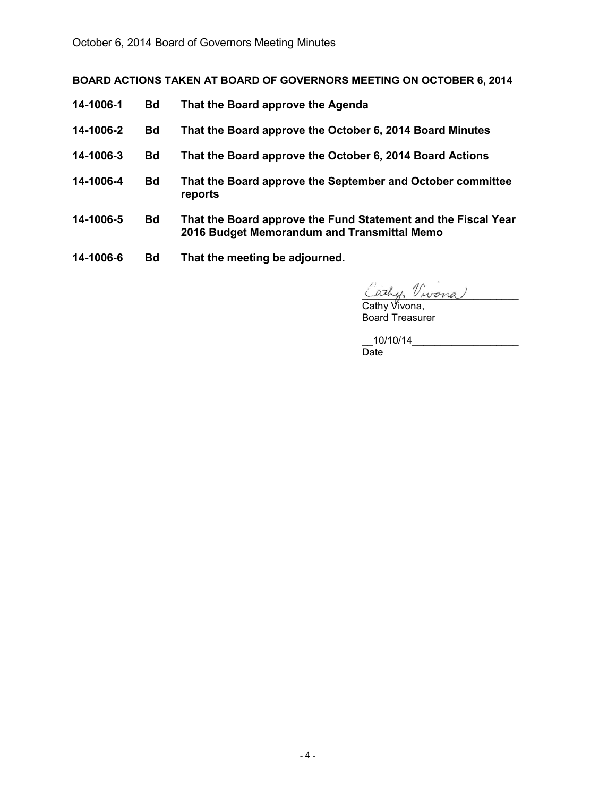BOARD ACTIONS TAKEN AT BOARD OF GOVERNORS MEETING ON OCTOBER 6, 2014

- 14-1006-1 Bd That the Board approve the Agenda
- 14-1006-2 Bd That the Board approve the October 6, 2014 Board Minutes
- 14-1006-3 Bd That the Board approve the October 6, 2014 Board Actions
- 14-1006-4 Bd That the Board approve the September and October committee reports
- 14-1006-5 Bd That the Board approve the Fund Statement and the Fiscal Year 2016 Budget Memorandum and Transmittal Memo
- 14-1006-6 Bd That the meeting be adjourned.

\_\_\_\_\_\_\_\_\_\_\_\_\_\_\_\_\_\_\_\_\_\_\_\_\_\_\_\_

Cathy Vivona, Board Treasurer

 $\_10/10/14$   $\_$ Date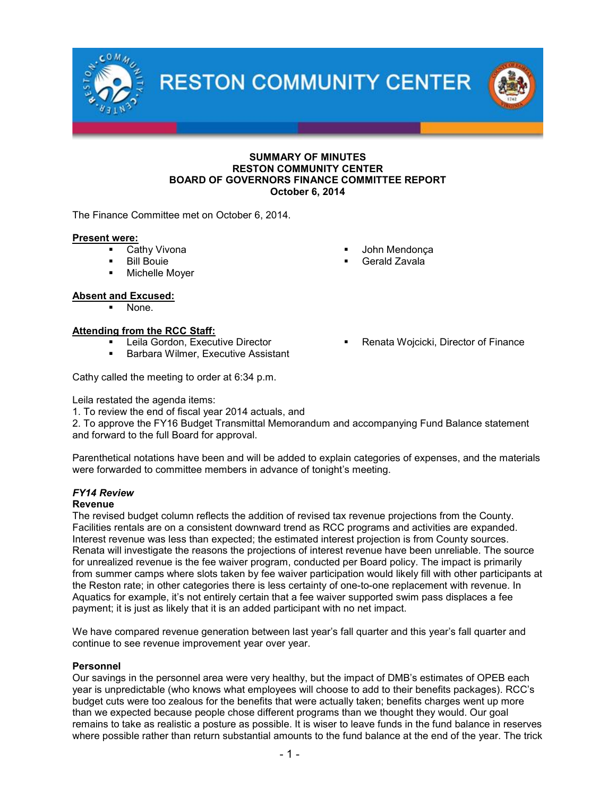**RESTON COMMUNITY CENTER** 



#### SUMMARY OF MINUTES RESTON COMMUNITY CENTER BOARD OF GOVERNORS FINANCE COMMITTEE REPORT October 6, 2014

The Finance Committee met on October 6, 2014.

#### Present were:

- **Cathy Vivona**
- **Bill Bouie**
- **•** Michelle Moyer

## Absent and Excused:

None.

## **Attending from the RCC Staff:**

- **Leila Gordon, Executive Director**
- **Barbara Wilmer, Executive Assistant**

Cathy called the meeting to order at 6:34 p.m.

Leila restated the agenda items:

1. To review the end of fiscal year 2014 actuals, and

2. To approve the FY16 Budget Transmittal Memorandum and accompanying Fund Balance statement and forward to the full Board for approval.

Parenthetical notations have been and will be added to explain categories of expenses, and the materials were forwarded to committee members in advance of tonight's meeting.

# *FY14 Review*

## Revenue

The revised budget column reflects the addition of revised tax revenue projections from the County. Facilities rentals are on a consistent downward trend as RCC programs and activities are expanded. Interest revenue was less than expected; the estimated interest projection is from County sources. Renata will investigate the reasons the projections of interest revenue have been unreliable. The source for unrealized revenue is the fee waiver program, conducted per Board policy. The impact is primarily from summer camps where slots taken by fee waiver participation would likely fill with other participants at the Reston rate; in other categories there is less certainty of one-to-one replacement with revenue. In Aquatics for example, it's not entirely certain that a fee waiver supported swim pass displaces a fee payment; it is just as likely that it is an added participant with no net impact.

We have compared revenue generation between last year's fall quarter and this year's fall quarter and continue to see revenue improvement year over year.

#### Personnel

Our savings in the personnel area were very healthy, but the impact of DMB's estimates of OPEB each year is unpredictable (who knows what employees will choose to add to their benefits packages). RCC's budget cuts were too zealous for the benefits that were actually taken; benefits charges went up more than we expected because people chose different programs than we thought they would. Our goal remains to take as realistic a posture as possible. It is wiser to leave funds in the fund balance in reserves where possible rather than return substantial amounts to the fund balance at the end of the year. The trick

- John Mendonça
- Gerald Zavala
- Renata Wojcicki, Director of Finance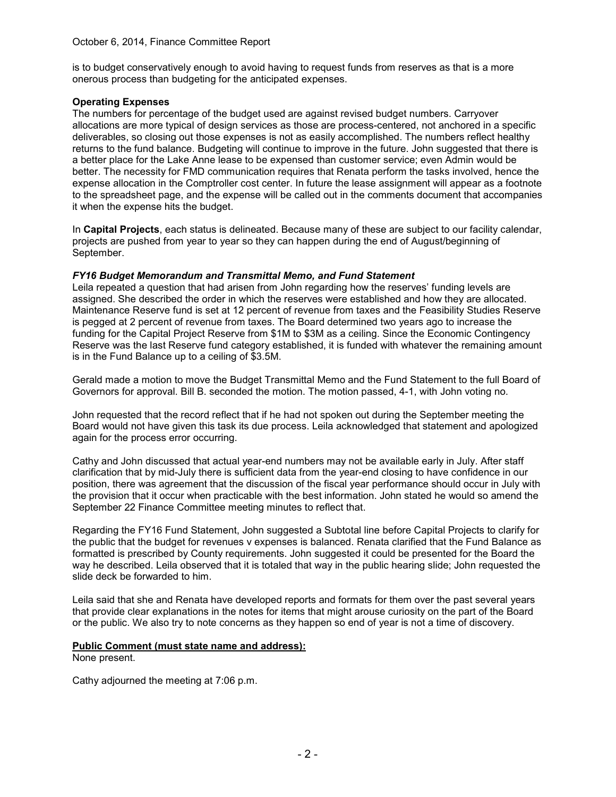is to budget conservatively enough to avoid having to request funds from reserves as that is a more onerous process than budgeting for the anticipated expenses.

## Operating Expenses

The numbers for percentage of the budget used are against revised budget numbers. Carryover allocations are more typical of design services as those are process-centered, not anchored in a specific deliverables, so closing out those expenses is not as easily accomplished. The numbers reflect healthy returns to the fund balance. Budgeting will continue to improve in the future. John suggested that there is a better place for the Lake Anne lease to be expensed than customer service; even Admin would be better. The necessity for FMD communication requires that Renata perform the tasks involved, hence the expense allocation in the Comptroller cost center. In future the lease assignment will appear as a footnote to the spreadsheet page, and the expense will be called out in the comments document that accompanies it when the expense hits the budget.

In Capital Projects, each status is delineated. Because many of these are subject to our facility calendar, projects are pushed from year to year so they can happen during the end of August/beginning of September.

### *FY16 Budget Memorandum and Transmittal Memo, and Fund Statement*

Leila repeated a question that had arisen from John regarding how the reserves' funding levels are assigned. She described the order in which the reserves were established and how they are allocated. Maintenance Reserve fund is set at 12 percent of revenue from taxes and the Feasibility Studies Reserve is pegged at 2 percent of revenue from taxes. The Board determined two years ago to increase the funding for the Capital Project Reserve from \$1M to \$3M as a ceiling. Since the Economic Contingency Reserve was the last Reserve fund category established, it is funded with whatever the remaining amount is in the Fund Balance up to a ceiling of \$3.5M.

Gerald made a motion to move the Budget Transmittal Memo and the Fund Statement to the full Board of Governors for approval. Bill B. seconded the motion. The motion passed, 4-1, with John voting no.

John requested that the record reflect that if he had not spoken out during the September meeting the Board would not have given this task its due process. Leila acknowledged that statement and apologized again for the process error occurring.

Cathy and John discussed that actual year-end numbers may not be available early in July. After staff clarification that by mid-July there is sufficient data from the year-end closing to have confidence in our position, there was agreement that the discussion of the fiscal year performance should occur in July with the provision that it occur when practicable with the best information. John stated he would so amend the September 22 Finance Committee meeting minutes to reflect that.

Regarding the FY16 Fund Statement, John suggested a Subtotal line before Capital Projects to clarify for the public that the budget for revenues v expenses is balanced. Renata clarified that the Fund Balance as formatted is prescribed by County requirements. John suggested it could be presented for the Board the way he described. Leila observed that it is totaled that way in the public hearing slide; John requested the slide deck be forwarded to him.

Leila said that she and Renata have developed reports and formats for them over the past several years that provide clear explanations in the notes for items that might arouse curiosity on the part of the Board or the public. We also try to note concerns as they happen so end of year is not a time of discovery.

#### Public Comment (must state name and address):

None present.

Cathy adjourned the meeting at 7:06 p.m.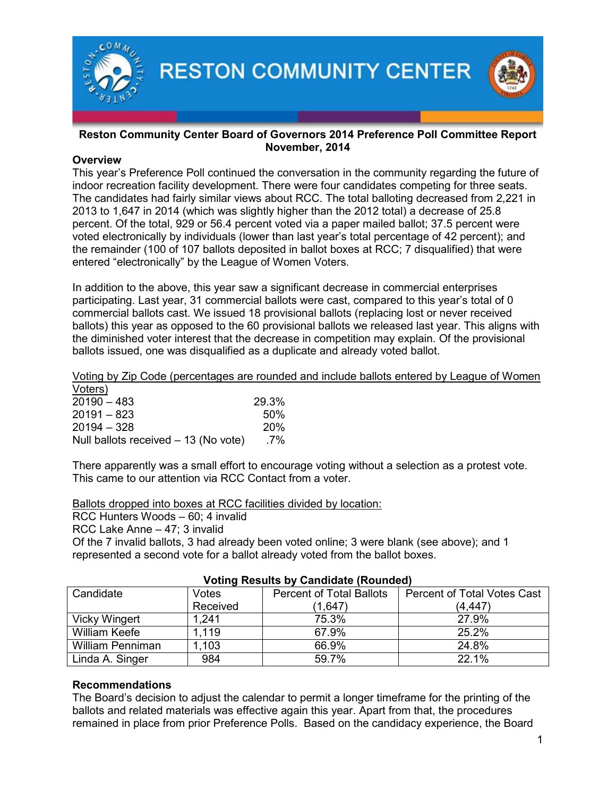

## Reston Community Center Board of Governors 2014 Preference Poll Committee Report November, 2014

# **Overview**

This year's Preference Poll continued the conversation in the community regarding the future of indoor recreation facility development. There were four candidates competing for three seats. The candidates had fairly similar views about RCC. The total balloting decreased from 2,221 in 2013 to 1,647 in 2014 (which was slightly higher than the 2012 total) a decrease of 25.8 percent. Of the total, 929 or 56.4 percent voted via a paper mailed ballot; 37.5 percent were voted electronically by individuals (lower than last year's total percentage of 42 percent); and the remainder (100 of 107 ballots deposited in ballot boxes at RCC; 7 disqualified) that were entered "electronically" by the League of Women Voters.

In addition to the above, this year saw a significant decrease in commercial enterprises participating. Last year, 31 commercial ballots were cast, compared to this year's total of 0 commercial ballots cast. We issued 18 provisional ballots (replacing lost or never received ballots) this year as opposed to the 60 provisional ballots we released last year. This aligns with the diminished voter interest that the decrease in competition may explain. Of the provisional ballots issued, one was disqualified as a duplicate and already voted ballot.

## Voting by Zip Code (percentages are rounded and include ballots entered by League of Women

| Voters)                              |            |
|--------------------------------------|------------|
| $20190 - 483$                        | 29.3%      |
| $20191 - 823$                        | .50%       |
| $20194 - 328$                        | <b>20%</b> |
| Null ballots received - 13 (No vote) | .7%        |

There apparently was a small effort to encourage voting without a selection as a protest vote. This came to our attention via RCC Contact from a voter.

Ballots dropped into boxes at RCC facilities divided by location:

RCC Hunters Woods – 60; 4 invalid

RCC Lake Anne – 47; 3 invalid

Of the 7 invalid ballots, 3 had already been voted online; 3 were blank (see above); and 1 represented a second vote for a ballot already voted from the ballot boxes.

| <u>VOLING INGGUILS BY ORININGLE (INDUINGU)</u> |          |                                 |                                    |  |
|------------------------------------------------|----------|---------------------------------|------------------------------------|--|
| Candidate                                      | Votes    | <b>Percent of Total Ballots</b> | <b>Percent of Total Votes Cast</b> |  |
|                                                | Received | (1,647)                         | (4, 447)                           |  |
| <b>Vicky Wingert</b>                           | 1,241    | 75.3%                           | 27.9%                              |  |
| <b>William Keefe</b>                           | 1.119    | 67.9%                           | 25.2%                              |  |
| <b>William Penniman</b>                        | 1,103    | 66.9%                           | 24.8%                              |  |
| Linda A. Singer                                | 984      | 59.7%                           | 22.1%                              |  |

# Voting Results by Candidate (Rounded)

# Recommendations

The Board's decision to adjust the calendar to permit a longer timeframe for the printing of the ballots and related materials was effective again this year. Apart from that, the procedures remained in place from prior Preference Polls. Based on the candidacy experience, the Board